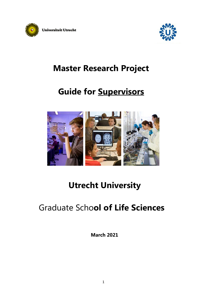



# **Master Research Project**

# **Guide for Supervisors**



# **Utrecht University**

# Graduate Scho**ol of Life Sciences**

**March 2021**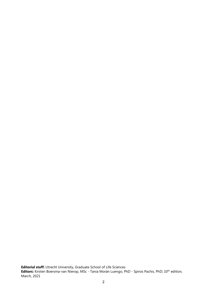**Editorial staff:** Utrecht University, Graduate School of Life Sciences **Editors:** Kirsten Boersma-van Nierop, MSc - Tania Morán Luengo, PhD - Spiros Pachis, PhD; 10th edition, March, 2021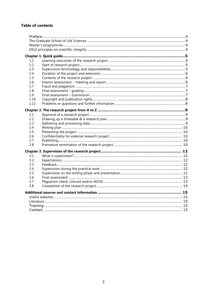# **Table of contents**

| 1.1<br>1.2<br>1.3<br>1.4<br>1.5<br>1.6<br>1.7<br>1.8<br>1.9<br>1.10<br>1.11<br>2.1<br>2.2<br>2.3<br>2.4<br>2.5<br>2.6<br>2.7<br>2.8<br>3.1<br>3.2<br>3.3<br>3.4<br>3.5<br>3.6<br>3.7<br>3.8 |  |  |  |  |
|---------------------------------------------------------------------------------------------------------------------------------------------------------------------------------------------|--|--|--|--|
|                                                                                                                                                                                             |  |  |  |  |
|                                                                                                                                                                                             |  |  |  |  |
|                                                                                                                                                                                             |  |  |  |  |
|                                                                                                                                                                                             |  |  |  |  |
|                                                                                                                                                                                             |  |  |  |  |
|                                                                                                                                                                                             |  |  |  |  |
|                                                                                                                                                                                             |  |  |  |  |
|                                                                                                                                                                                             |  |  |  |  |
|                                                                                                                                                                                             |  |  |  |  |
|                                                                                                                                                                                             |  |  |  |  |
|                                                                                                                                                                                             |  |  |  |  |
|                                                                                                                                                                                             |  |  |  |  |
|                                                                                                                                                                                             |  |  |  |  |
|                                                                                                                                                                                             |  |  |  |  |
|                                                                                                                                                                                             |  |  |  |  |
|                                                                                                                                                                                             |  |  |  |  |
|                                                                                                                                                                                             |  |  |  |  |
|                                                                                                                                                                                             |  |  |  |  |
|                                                                                                                                                                                             |  |  |  |  |
|                                                                                                                                                                                             |  |  |  |  |
|                                                                                                                                                                                             |  |  |  |  |
|                                                                                                                                                                                             |  |  |  |  |
|                                                                                                                                                                                             |  |  |  |  |
|                                                                                                                                                                                             |  |  |  |  |
|                                                                                                                                                                                             |  |  |  |  |
|                                                                                                                                                                                             |  |  |  |  |
|                                                                                                                                                                                             |  |  |  |  |
|                                                                                                                                                                                             |  |  |  |  |
|                                                                                                                                                                                             |  |  |  |  |
|                                                                                                                                                                                             |  |  |  |  |
|                                                                                                                                                                                             |  |  |  |  |
|                                                                                                                                                                                             |  |  |  |  |
|                                                                                                                                                                                             |  |  |  |  |
|                                                                                                                                                                                             |  |  |  |  |
|                                                                                                                                                                                             |  |  |  |  |
|                                                                                                                                                                                             |  |  |  |  |
|                                                                                                                                                                                             |  |  |  |  |
|                                                                                                                                                                                             |  |  |  |  |
|                                                                                                                                                                                             |  |  |  |  |
|                                                                                                                                                                                             |  |  |  |  |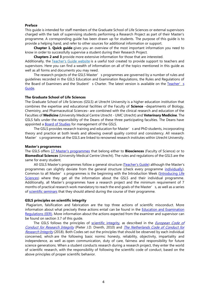#### <span id="page-3-0"></span>**Preface**

This guide is intended for staff members of the Graduate School of Life Sciences or external supervisors charged with the task of supervising students performing a Research Project as part of their Master's programme. A corresponding guide has been drawn up for students. The purpose of this guide is to provide a helping hand, and refer to other sources for additional information or support.

**Chapter 1. Quick guide** gives you an overview of the most important information you need to know in order to successfully supervise a student during their Research Project.

**Chapters 2 and 3** provide more extensive information for those that are interested.

Additionally, the [Teacher's Guide website](http://www.teacherguidelifesciences.nl/) is a useful tool created to provide support to teachers and supervisors. Here you can find a wealth of information on all of the topics mentioned in this guide as well as all forms and documents you may need.

The research projects of the GSLS Master's programmes are governed by a number of rules and guidelines recorded in the GSLS Education and Examination Regulations, the Rules and Regulations of the Board of Examiners and the Student's Charter. The latest version is available on the Teacher's [Guide.](https://teacherguidelifesciences.nl/documents)

#### <span id="page-3-1"></span>**The Graduate School of Life Sciences**

The Graduate School of Life Sciences (GSLS) at Utrecht University is a higher education institution that combines the expertise and educational facilities of the Faculty of **Science** –departments of Biology, Chemistry, and Pharmaceutical Sciences– are combined with the clinical research and education of the Faculties of **Medicine** (University Medical Centre Utrecht - UMC Utrecht) and **Veterinary Medicine**. The GSLS falls under the responsibility of the Deans of these three participating faculties. The Deans have appointed a **Board of Studies** for management of the GSLS.

The GSLS provides research training and education for Master's and PhD students, incorporating theory and practice at both levels and allowing overall quality control and consistency. All research Master's programmes at the GSLS are linked to renowned research institutes within Utrecht University.

#### <span id="page-3-2"></span>**Master's programmes**

The GSLS offers [17 Master's programmes](https://teacherguidelifesciences.nl/masters-programmes) that belong either to **Biosciences** (Faculty of Science) or to **Biomedical Sciences** (University Medical Centre Utrecht). The rules and regulations of the GSLS are the same for every student.

All GSLS Master's programmes follow a general structure [\(Teacher's Guide\)](https://teacherguidelifesciences.nl/masters-programmes#structure-of-the-masters-programmes) although the Master's programmes can slightly deviate from the general structure (check every programme [individually\)](https://teacherguidelifesciences.nl/masters-programmes). Common to all Master's programmes is the beginning with the Introduction Week (*Introducing Life*) [Sciences](https://studyguidelifesciences.nl/life-sciences-academy/part-introducing-life-sciences)) where they get all the information about the GSLS and their individual programme. Additionally, all Master's programmes have a research project and the minimum requirement of 7 months of practical research work mandatory to reach the end goals of the Master's, as well as a series of [scientific seminars](https://studyguidelifesciences.nl/seminars) that they should attend during the course of their programme.

#### <span id="page-3-3"></span>**GSLS principles on scientific integrity**

Plagiarism, falsification and fabrication are the top three actions of scientific misconduct. More information about what precisely these actions entail can be found in the [Education and Examination](https://teacherguidelifesciences.nl/documents)  [Regulations \(EER\).](https://teacherguidelifesciences.nl/documents) More information about the actions expected from the examiner and supervisor can be found on section 3.7 of this guide.

The GSLS follows the principles of [scientific integrity,](https://teacherguidelifesciences.nl/scientific-integrity) as described in the *European Code of* [Conduct for Research Integrity](https://allea.org/code-of-conduct/) (Pieter J.D. Drenth, 2010) and [The Netherlands Code of Conduct for](https://www.knaw.nl/shared/resources/actueel/bestanden/netherlands-code-of-conduct-for-research-integrity-2018-uk)  [Research Integrity](https://www.knaw.nl/shared/resources/actueel/bestanden/netherlands-code-of-conduct-for-research-integrity-2018-uk) (2018). Both Codes set out the principles that should be observed by each individual concerned, which are the following basic norms: honesty, reliability, objectivity, impartiality and independence, as well as open communication, duty of care, fairness and responsibility for future science generations. When a student conducts research during a research project, they enter the world of scientific research, with the responsibility of following the scientific code of conduct, based on the above principles of proper scientific behavior.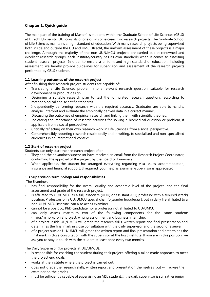# <span id="page-4-0"></span>**Chapter 1. Quick guide**

The main part of the training of Master's students within the Graduate School of Life Sciences (GSLS) at Utrecht University (UU) consists of one or, in some cases, two research projects. The Graduate School of Life Sciences maintains a high standard of education. With many research projects being supervised both inside and outside the UU and UMC Utrecht, the uniform assessment of these projects is a major challenge. Although the majority of the non-UU/UMCU projects are carried out at renowned and excellent research groups, each institute/country has its own standards when it comes to assessing student research projects. In order to ensure a uniform and high standard of education, including assessment, we hereby provide guidelines for supervision and assessment of the research projects performed by GSLS students.

# <span id="page-4-1"></span>**1.1 Learning outcomes of the research project**

After finishing their research project, students are capable of:

- Translating a Life Sciences problem into a relevant research question, suitable for research development or product design.
- Designing a suitable research plan to test the formulated research questions, according to methodological and scientific standards.
- Independently performing research, with the required accuracy. Graduates are able to handle, analyse, interpret and evaluate the empirically derived data in a correct manner.
- Discussing the outcomes of empirical research and linking them with scientific theories.
- Indicating the importance of research activities for solving a biomedical question or problem, if applicable from a social perspective.
- Critically reflecting on their own research work in Life Sciences, from a social perspective.
- Comprehensibly reporting research results orally and in writing, to specialised and non-specialised audiences in an international context.

# <span id="page-4-2"></span>**1.2 Start of research project**

Students can only start their research project after:

- They and their examiner/supervisor have received an email from the Research Project Coordinator, confirming the approval of the project by the Board of Examiners.
- When applicable, the student has arranged everything regarding visa issues, accommodation, insurance and financial support. If required, your help as examiner/supervisor is appreciated.

# <span id="page-4-3"></span>**1.3 Supervision terminology and responsibilities**

The Examiner:

- has final responsibility for the overall quality and academic level of the project, and the final assessment and grade of the research project.
- is affiliated to UU/UMCU as a full, associate (UHD) or assistant (UD) professor with a tenured (track) position. Professors on a UU/UMCU special chair (bijzonder hoogleraar), but in daily life affiliated to a non-UU/UMCU institute, can also act as examiner.
- cannot be a postdoc, PhD candidate nor a professor not affiliated to UU/UMCU.
- can only assess maximum two of the following components for the same student: (major/minor/profile) project, writing assignment and business internship.
- of a project inside UU/UMCU will grade the research skills, written report and final presentation and determines the final mark in close consultation with the daily supervisor and the second reviewer.
- of a project outside UU/UMCU will grade the written report and final presentation and determines the final mark in close consultation with the supervisor at the host institute. If you are in this position, we ask you to stay in touch with the student at least once every two months.

# The Daily Supervisor (for projects at UU/UMCU):

- is responsible for coaching the student during their project, offering a tailor-made approach to meet the project end goals.
- works at the institute where the project is carried out.
- does not grade the research skills, written report and presentation themselves, but will advise the examiner on the grades.
- must be sufficiently capable of supervising an MSc student. If the daily supervisor is still rather junior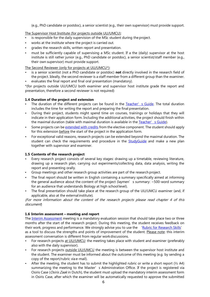(e.g., PhD candidate or postdoc), a senior scientist (e.g., their own supervisor) must provide support.

# The Supervisor Host Institute (for projects outside UU/UMCU):

- is responsible for the daily supervision of the MSc student during the project.
- works at the institute where the project is carried out.
- grades the research skills, written report and presentation.
- must be sufficiently capable of supervising a MSc student. If a the (daily) supervisor at the host institute is still rather junior (e.g., PhD candidate or postdoc), a senior scientist/staff member (e.g., their own supervisor) must provide support.

The Second Reviewer (only for projects at UU/UMCU\*):

- is a senior scientist (not a PhD candidate or postdoc) **not** directly involved in the research field of the project. Ideally, the second reviewer is a staff member from a different group than the examiner.
- evaluates the final report and final oral presentation (mandatory).

\*(for projects outside UU/UMCU both examiner and supervisor host institute grade the report and presentation, therefore a second reviewer is not required)

# <span id="page-5-0"></span>**1.4 Duration of the project and extension**

- The duration of the different projects can be found in the [Teacher's](https://teacherguidelifesciences.nl/supervising/research-project#length-of-project-and-delays) Guide. The total duration includes the time for writing the report and preparing the final presentation.
- During their project, students might spend time on courses, trainings or holidays that they will indicate in their application form. Including the additional activities, the project should finish within the maximal duration (table with maximal duration is available in the [Teacher's](https://teacherguidelifesciences.nl/supervising/research-project#length-of-project-and-delays) Guide).
- Some projects can be [extended with credits](https://studyguidelifesciences.nl/research-project/duration-extension-and-delay#extension-for-credits) from the elective component. The student should apply for this extension before the start of the project in the application form.
- For exceptional valid reasons, research projects can be extended beyond the maximal duration. The student can check the requirements and procedure in the [StudyGuide](https://studyguidelifesciences.nl/research-project/duration-extension-and-delay#postponing-end-date-exceeding-maximal-duration) and make a new plan together with supervisor and examiner.

# <span id="page-5-1"></span>**1.5 Contents of the research project**

- Every research project consists of several key stages: drawing up a timetable, reviewing literature, drawing up a research plan, carrying out experiments/collecting data, data analysis, writing the report and presenting orally.
- Group meetings and other research group activities are part of the research project.
- The final report should be written in English containing a summary specifically aimed at informing the general audience about the content of the project (laymen's summary:  $\sim$  500-word summary for an audience that understands Biology at high school level).
- The final presentation should take place at the research group of the UU/UMCU examiner (and, if applicable, also at the external institute).

(For more information about the content of the research projects please read chapter 4 of this document)

# <span id="page-5-2"></span>**1.6 Interim assessment – meeting and report**

The [Interim Assessment](https://studyguidelifesciences.nl/research-project/interim-assessment-feedback) meeting is a mandatory evaluation session that should take place two or three months after the start of the research project. During this meeting, the student receives feedback on their work, progress and performance. We strongly advise you to use the '[Rubric for Research Skills](https://rubric.gsls-uu.nl/rubrics/rubric-research-skills)' as a tool to discuss the strengths and points of improvement of the student. Please note: this interim assessment conversation is different from regular workdiscussions.

- For research projects at UU/UMCU: the meeting takes place with student and examiner (preferably also with the daily supervisor).
- For research projects outside UU/UMCU the meeting is between the supervisor host institute and the student. The examiner must be informed about the outcome of this meeting (e.g. by sending a copy of the report/rubric via e-mail).
- After the meeting, the student has to submit the highlighted rubric or write a short report  $(\frac{1}{2}$  A4) summarizing the meeting to the Master's Administration Office. If the project is registered via Osiris Case (Osiris Zaak in Dutch), the student must upload the mandatory interim assessment form in Osiris Case, after which the examiner will be automatically requested to approve the submitted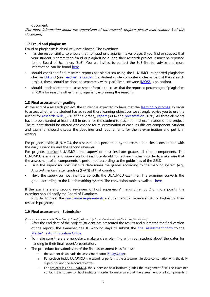document.

(For more information about the supervision of the research projects please read chapter 3 of this document)

# <span id="page-6-0"></span>**1.7 Fraud and plagiarism**

Fraud or plagiarism is absolutely not allowed. The examiner:

- has the responsibility to ensure that no fraud or plagiarism takes place. If you find or suspect that your student is committing fraud or plagiarizing during their research project, it must be reported to the Board of Examiners (BoE). You are invited to contact the BoE first for advice and more information can be found [here.](https://www.uu.nl/en/education/graduate-school-of-life-sciences/detect-and-deal-with-plagiarism-ephorus)
- should check the final research reports for plagiarism using the UU/UMCU supported plagiarism checker [Urkund](https://urkund.sites.uu.nl/en/) (see [Teacher's Guide](https://teacherguidelifesciences.nl/supervising/research-project#fraud-and-plagiarism-urkund)). If a student wrote computer codes as part of the research project, these should be checked separately with specialized software [\(MOSS](https://theory.stanford.edu/~aiken/moss/) is an option).
- should attach a letter to the assessment form in the cases that the reported percentage of plagiarism is >10% for reasons other than plagiarism, explaining the reasons.

# <span id="page-6-1"></span>**1.8 Final assessment – grading**

At the end of a research project, the student is expected to have met the [learning outcomes.](https://teacherguidelifesciences.nl/supervising/research-project#learning-objectives-and-rubrics) In order to assess whether the student has achieved these learning objectives we strongly advise you to use the rubrics for [research skills](https://rubric.gsls-uu.nl/rubrics/rubric-research-skills) (60% of final grade), [report](https://rubric.gsls-uu.nl/rubrics/rubric-research-report) (30%) and [presentation](https://rubric.gsls-uu.nl/rubrics/rubric-presentation) (10%). All three elements have to be awarded at least a 5.5 in order for the student to pass the final examination of the project. The student should be offered one chance for re-examination of each insufficient component. Student and examiner should discuss the deadlines and requirements for the re-examination and put it in writing.

For projects inside UU/UMCU, the assessment is performed by the examiner in close consultation with the daily supervisor and the second reviewer.

For projects outside UU/UMCU, the supervisor host institute grades all three components. The UU/UMCU examiner and supervisor host institute should contact each other in order to make sure that the assessment of all components is performed according to the guidelines of the GSLS.

- First, the supervisor host institute determines the grades according to the marking system (e.g., Anglo-American letter grading (F-A<sup>+</sup>)) of that country.
- Next, the supervisor host institute consults the UU/UMCU examiner. The examiner converts the grade according to the Dutch marking system. The conversion table is available [here.](https://studyguidelifesciences.nl/research-projects/business-internships/final-assessment#conversion-table-international-grades)

If the examiners and second reviewers or host supervisors' marks differ by 2 or more points, the examiner should notify the Board of Examiners.

In order to meet the *cum laude* [requirements](https://studyguidelifesciences.nl/graduation-and-career/cum-laude-criteria) a student should receive an 8.5 or higher for their research project(s).

#### <span id="page-6-2"></span>**1.9 Final assessment – Submission**

(In case of assessment in Osiris Case ('Zaak') please skip the first part and read the instructions below)

- After the end date of the project (student has presented the results and submitted the final version of the report), the examiner has 10 working days to submit the [final assessment form](https://teacherguidelifesciences.nl/supervising/research-project#final-assessment) to the Master' s Administration Office.
- To make sure there are no delays, make a clear planning with your student about the dates for handing in their final report/presentation.
- The procedure for submission of the final assessment is as follows:
	- o the student downloads the assessment form [\(StudyGuide\)](https://studyguidelifesciences.nl/documents);
	- o For projects inside UU/UMCU, the examiner performs the assessment in close consultation with the daily supervisor and the second reviewer.
	- o For projects inside UU/UMCU, the supervisor host institute grades the assignment first. The examiner contacts the supervisor host institute in order to make sure that the assessment of all components is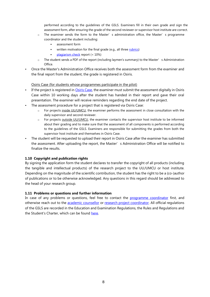performed according to the guidelines of the GSLS. Examiners fill in their own grade and sign the assessment form, after ensuring the grade of the second reviewer or supervisor host institute are correct.

- o The examiner sends the form to the Master's administration office, the Master's programme coordinator and the student including:
	- assessment form
	- written motivation for the final grade (e.g., all thre[e rubrics\)](https://teacherguidelifesciences.nl/supervising/research-project#learning-objectives-and-rubrics)
	- [plagiarism check](https://teacherguidelifesciences.nl/supervising/research-project#fraud-and-plagiarism-urkund) report (< 10%)
- $\circ$  The student sends a PDF of the report (including laymen's summary) to the Master's Administration Office.
- Once the Master's Administration Office receives both the assessment form from the examiner and the final report from the student, the grade is registered in Osiris.

#### Osiris Case (for students whose programmes participate in the pilot)

- If the project is registered i[n Osiris Case,](https://osiris.uu.nl/osiris_docent/faces/Start) the examiner must submit the assessment digitally in Osiris Case within 10 working days after the student has handed in their report and gave their oral presentation. The examiner will receive reminders regarding the end date of the project.
- The assessment procedure for a project that is registered via Osiris Case:
	- o For projects inside UU/UMCU, the examiner performs the assessment in close consultation with the daily supervisor and second reviewer.
	- o For projects outside UU/UMCU, the examiner contacts the supervisor host institute to be informed about their grading and to make sure that the assessment of all components is performed according to the guidelines of the GSLS. Examiners are responsible for submitting the grades from both the supervisor host institute and themselves in Osiris Case.
- The student will be requested to upload their report in Osiris Case after the examiner has submitted the assessment. After uploading the report, the Master's Administration Office will be notified to finalize the results.

#### <span id="page-7-0"></span>**1.10 Copyright and publication rights**

By signing the application form the student declares to transfer the copyright of all products (including the tangible and intellectual products) of the research project to the UU/UMCU or host institute. Depending on the magnitude of the scientific contribution, the student has the right to be a (co-)author of publications or to be otherwise acknowledged. Any questions in this regard should be addressed to the head of your research group.

#### <span id="page-7-1"></span>**1.11 Problems or questions and further information**

In case of any problems or questions, feel free to contact the [programme coordinator](https://studyguidelifesciences.nl/contact/programme-and-track-coordinators) first, and otherwise reach out to the [academic counsellor](https://studyguidelifesciences.nl/contact/academic-counsellors) or [research project coordinator.](https://studyguidelifesciences.nl/contact/research-project-coordinators) All official regulations of the GSLS are recorded in the Education and Examination Regulations, the Rules and Regulations and the Student's Charter, which can be found [here.](https://studyguidelifesciences.nl/documents)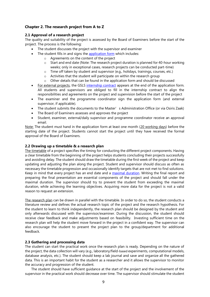# <span id="page-8-0"></span>**Chapter 2. The research project from A to Z**

#### <span id="page-8-1"></span>**2.1 Approval of a research project**

The quality and suitability of the project is assessed by the Board of Examiners before the start of the project. The process is the following:

- The student discusses the project with the supervisor and examiner
- The student fills in and signs the [application form](https://studyguidelifesciences.nl/documents) which includes:
	- o Agreements on the content of the project
	- o Start and end date (Note: The research project duration is planned for 40-hour working weeks; only in exceptional cases, research projects can be conducted part-time)
	- o Time off taken by student and supervisor (e.g., holidays, trainings, courses, etc.)
	- o Activities that the student will participate on within the research group
	- o Other details that can be found in the application form and should be discussed
- For external projects, the GSLS [internship contract](https://studyguidelifesciences.nl/documents) appears at the end of the application form. All students and supervisors are obliged to fill in the internship contract to align the responsibilities and agreements on the project and supervision before the start of the project
- The examiner and the programme coordinator sign the application form (and external supervisor, if applicable).
- The student submits the documents to the Master' s Administration Office (or via Osiris Zaak)
- The Board of Examiners assesses and approves the project
- Student, examiner, external/daily supervisor and programme coordinator receive an approval email.

Note: The student must hand in the application form at least one month (20 working days) before the starting date of the project. Students cannot start the project until they have received the formal approval of the Board of Examiners.

#### <span id="page-8-2"></span>**2.2 Drawing up a timetable & a research plan**

The timetable of a project specifies the timing for conducting the different project components. Having a clear timetable from the beginning of the project helps students concluding their projects successfully and avoiding delay. The student should draw the timetable during the first week of the project and keep updating and adjusting the plan along the project. Student and supervisor should discuss as often as necessary the timetable progression and occasionally identify targets that are not met to find solutions. Keep in mind that every project has an end date and a [maximal duration.](https://teacherguidelifesciences.nl/supervising/research-project#length-of-project-and-delays) Writing the final report and preparing the final presentation are essential components of the project and should fall under the maximal duration. The supervisor should try to prevent the student from exceeding the maximal duration, while achieving the learning objectives. Acquiring more data for the project is not a valid reason to request an extension.

The research plan can be drawn in parallel with the timetable. In order to do so, the student conducts a literature review and defines the actual research topic of the project and the research hypothesis. For the student to learn to think independently, the research plan should be designed by the student and only afterwards discussed with the supervisor/examiner. During the discussion, the student should receive clear feedback and make adjustments based on feasibility. Investing sufficient time on the research plan will help the student move forward in the project in a confident way. The supervisor can also encourage the student to present the project plan to the group/department for additional feedback.

# <span id="page-8-3"></span>**2.3 Gathering and processing data**

The student can start the practical work once the research plan is ready. Depending on the nature of the project, the data collection will vary (e.g., laboratory/field-based experiments, computational models, database analysis, etc.). The student should keep a lab journal and save and organize all the gathered data. This is an important habit for the student as a researcher and it allows the supervisor to monitor the accuracy and progression of the student.

The student should have sufficient guidance at the start of the project and the involvement of the supervisor in the practical work should decrease over time. The supervisor should stimulate the student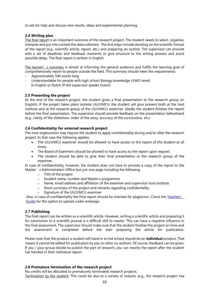to ask for help and discuss new results, ideas and experimental planning.

# <span id="page-9-0"></span>**2.4 Writing plan**

The final report is an important outcome of the research project. The student needs to select, organize, interpret and put into context the data collected. The first steps include deciding on the scientific format of the report (e.g., scientific article, report, etc.) and preparing an outline. The supervisor can provide with a set of deadlines and feedback moments to give structure to the writing process and avoid possible delay. The final report is written in English.

The laymen's summary is aimed at informing the general audience and fulfills the learning goal of comprehensively report to people outside the field. This summary should meet the requirements:

- Approximately 500 words long
- Understandable for people with high school Biology knowledge (VWO-level)
- In English or Dutch (if the supervisor speaks Dutch)

# <span id="page-9-1"></span>**2.5 Presenting the project**

At the end of the research project, the student gives a final presentation to the research group (in English). If the project takes place outside UU/UMCU, the student will give present both at the host institute and at the research group of the UU/UMCU examiner. Ideally the student finishes the report before the final presentation. The supervisor should provide feedback on the presentation beforehand (e.g., clarity of the slideshow, order of the story, accuracy of the conclusions, etc.)

# <span id="page-9-2"></span>**2.6 Confidentiality for external research project**

The host organization may require the student to apply confidentiality during and/or after the research project. In that case the following applies:

- The UU/UMCU examiner should be allowed to have access to the report of the student at all times.
- The Board of Examiners should be allowed to have access to the report upon request.
- The student should be able to give their final presentation at the research group of the examiner.

In case of confidentiality, however, the student does not have to provide a copy of the report to the Master's Administration Office but just one page including the following:

- o Title of the project
- o Student name, number and Master's programme
- o Name, email address and affiliation of the examiner and supervisor host institute
- o Short summary of the project and remarks regarding confidentiality.
- o Signature of the UU/UMCU examiner

Also, in case of confidentiality the final report should be checked for plagiarism. Check the Teachers' [Guide](https://teacherguidelifesciences.nl/supervising/research-project#fraud-and-plagiarism-urkund) for the option to upload under embargo.

# <span id="page-9-3"></span>**2.7 Publishing**

The final report can be written as a scientific article. However, writing a scientific article and preparing it for submission to a scientific journal is a difficult skill to master. This can have a negative influence in the final assessment. The supervisor should make sure that the student finishes the project on time and the assessment is completed before the start preparing the article for publication.

Please note that the product a student will hand in to the school should be an **individual** product. That means it cannot be edited for publication by you or other co-authors. Of course, feedback can be given. If you / your group decide to publish the part of research, you can rewrite the report after the student has handed in their individual report.

# <span id="page-9-4"></span>**2.8 Premature termination of the research project**

No credits will be allocated to prematurely terminated research projects. Termination by the student: This could be due to a variety of reasons (e.g., the research project has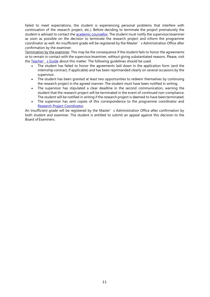failed to meet expectations, the student is experiencing personal problems that interfere with continuation of the research project, etc.). Before deciding to terminate the project prematurely the student is advised to contact the **academic counsellor**. The student must notify the supervisor/examiner as soon as possible on the decision to terminate the research project and inform the programme coordinator as well. An insufficient grade will be registered by the Master's Administration Office after confirmation by the examiner.

Termination by the examiner. This may be the consequence if the student fails to honor the agreements or to remain in contact with the supervisor/examiner, without giving substantiated reasons. Please, visit the [Teacher's Guide](https://teacherguidelifesciences.nl/supervising/research-project#problems-disputes-premature-termination-of-project) about this matter. The following guidelines should be used:

- The student has failed to honor the agreements laid down in the application form (and the internship contract, if applicable) and has been reprimanded clearly on several occasions by the supervisor.
- The student has been granted at least two opportunities to redeem themselves by continuing the research project in the agreed manner. The student must have been notified in writing.
- The supervisor has stipulated a clear deadline in the second communication, warning the student that the research project will be terminated in the event of continued non-compliance. The student will be notified in writing if the research project is deemed to have been terminated.
- The supervisor has sent copies of this correspondence to the programme coordinator and [Research Project Coordinator.](https://teacherguidelifesciences.nl/contact-category/research-project-coordinators)

An insufficient grade will be registered by the Master's Administration Office after confirmation by both student and examiner. The student is entitled to submit an appeal against this decision to the Board of Examiners.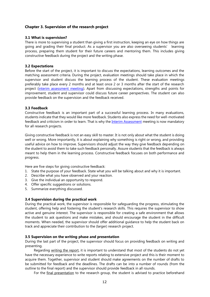# <span id="page-11-0"></span>**Chapter 3. Supervision of the research project**

#### <span id="page-11-1"></span>**3.1 What is supervision?**

There is more to supervising a student than giving a first instruction, keeping an eye on how things are going and grading their final product. As a supervisor you are also overseeing students' learning process, preparing them student for their future careers and mentoring them. This includes giving constructive feedback during the project and the writing phase.

### <span id="page-11-2"></span>**3.2 Expectations**

Before the start of the project, it is important to discuss the expectations, learning outcomes and the matching assessment criteria. During the project, evaluation meetings should take place in which the supervisor and student discuss the learning process of the student. These evaluation meetings preferably take place every 2 months and at least once 2 or 3 months after the start of the research project [\(interim assessment meeting\)](https://studyguidelifesciences.nl/research-project/interim-assessment-feedback). Apart from discussing expectations, strengths and points for improvement, student and supervisor could discuss future career perspectives. The student can also provide feedback on the supervision and the feedback received.

#### <span id="page-11-3"></span>**3.3 Feedback**

Constructive feedback is an important part of a successful learning process. In many evaluations, students indicate that they would like more feedback. Students also express the need for well-motivated feedback and criticism in order to learn. That is why th[e Interim Assessment](https://studyguidelifesciences.nl/research-project/interim-assessment-feedback) meeting is now mandatory for all research projects.

Giving constructive feedback is not an easy skill to master. It is not only about what the student is doing well or wrong. More importantly, it is about explaining why something is right or wrong, and providing useful advice on how to improve. Supervisors should adjust the way they give feedback depending on the student to avoid them to take such feedback personally. Assure students that the feedback is always meant to help them in the learning process. Constructive feedback focuses on both performance and progress.

Here are five steps for giving constructive feedback:

- 1. State the purpose of your feedback. State what you will be talking about and why it is important.
- 2. Describe what you have observed and your reaction.
- 3. Give the individual an opportunity to respond.
- 4. Offer specific suggestions or solutions.
- 5. Summarize everything discussed.

#### <span id="page-11-4"></span>**3.4 Supervision during the practical work**

During the practical work, the supervisor is responsible for safeguarding the progress, stimulating the student, offering help and fostering the student's research skills. This requires the supervisor to show active and genuine interest. The supervisor is responsible for creating a safe environment that allows the student to ask questions and make mistakes, and should encourage the student in the difficult moments. When needed, the supervisor should offer additional guidance to help the student back on track and appreciate their contribution to the (larger) research project.

#### <span id="page-11-5"></span>**3.5 Supervision on the writing phase and presentation**

During the last part of the project, the supervisor should focus on providing feedback on writing and presenting.

Regarding writing the report, it is important to understand that most of the students do not yet have the necessary experience to write reports relating to extensive project and this is their moment to acquire them. Together, supervisor and student should make agreements on the number of drafts to be submitted for feedback and the deadlines. The drafts can be into a number of rounds (from the outline to the final report) and the supervisor should provide feedback in all rounds.

For the final presentation to the research group, the student is advised to practice beforehand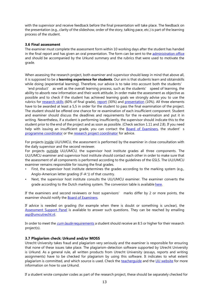with the supervisor and receive feedback before the final presentation will take place. The feedback on the presentation (e.g., clarity of the slideshow, order of the story, talking pace, etc.) is part of the learning process of the student.

#### <span id="page-12-0"></span>**3.6 Final assessment**

The examiner must complete the assessment form within 10 working days after the student has handed in the final report and has given an oral presentation. The form can be sent to the [administration office](https://studyguidelifesciences.nl/contact/administration-offices) and should be accompanied by the Urkund summary and the rubrics that were used to motivate the grade.

When assessing the research project, both examiner and supervisor should keep in mind that above all, it is supposed to be a **learning experience for students**. Our aim is that students learn and obtainskills while doing (experiential learning). Therefore, our advice is to take into account both the students'

'end product' as well as the overall learning process, such as the students' speed of learning, the ability to absorb new information and their work attitude. In order make the assessment as objective as possible and to check if the student has achieved learning goals we strongly advise you to use the rubrics for [research skills](https://rubric.gsls-uu.nl/rubrics/rubric-research-skills) (60% of final grade), [report](https://rubric.gsls-uu.nl/rubrics/rubric-research-report) (30%) and [presentation](https://rubric.gsls-uu.nl/rubrics/rubric-presentation) (10%). All three elements have to be awarded at least a 5,5 in order for the student to pass the final examination of the project. The student should be offered one chance for re-examination of each insufficient component. Student and examiner should discuss the deadlines and requirements for the re-examination and put it in writing. Nevertheless, if a student is performing insufficiently, the supervisor should indicate this to the student prior to the end of the project and as soon as possible. (Check section 1.11 and 2.8). If you need help with issuing an insufficient grade, you can contact the [Board of Examiners](https://studyguidelifesciences.nl/organization/board-of-examiners), the student's [programme coordinator](https://studyguidelifesciences.nl/contact/programme-and-track-coordinators) or the [research project coordinator](https://studyguidelifesciences.nl/contact/research-project-coordinators) for advice.

For projects inside UU/UMCU, the assessment is performed by the examiner in close consultation with the daily supervisor and the second reviewer.

For projects outside UU/UMCU, the supervisor host institute grades all three components. The UU/UMCU examiner and supervisor host institute should contact each other in order to make sure that the assessment of all components is performed according to the guidelines of the GSLS. The UU/UMCU examiner remains responsible for issuing the final grades.

- First, the supervisor host institute determines the grades according to the marking system (e.g., Anglo-American letter grading (F-A<sup>+</sup>)) of that country.
- Next, the supervisor host institute consults the UU/UMCU examiner. The examiner converts the grade according to the Dutch marking system. The conversion table is available [here.](https://studyguidelifesciences.nl/research-projects/business-internships/final-assessment#conversion-table-international-grades)

If the examiners and second reviewers or host supervisors' marks differ by 2 or more points, the examiner should notify the [Board of Examiners.](https://studyguidelifesciences.nl/organization/board-of-examiners)

If advice is needed on grading (for example when there is doubt or something is unclear), the [Assessment Support Panel](https://studyguidelifesciences.nl/organization/assessment-panel) is available to answer such questions. They can be reached by emailing [asp@umcutrecht.nl.](mailto:asp@umcutrecht.nl)

In order to meet the *cum laude* [requirements](https://studyguidelifesciences.nl/graduation-and-career/cum-laude-criteria) a student should receive an 8.5 or higher for their research project(s).

#### <span id="page-12-1"></span>**3.7 Plagiarism check: Urkund and/or MOSS**

Utrecht University takes fraud and plagiarism very seriously and the examiner is responsible for ensuring that none of these issues take place. The plagiarism-detection software supported by Utrecht University is Urkund. As a general rule, all written products from Utrecht University (essays, reports and writing assignments) have to be checked for plagiarism by using this software. It indicates to what extent plagiarism is committed, and which source is used. Check the [teacherguide](https://teacherguidelifesciences.nl/supervising/writing-assignment#fraud-and-plagiarism-urkund) and the [UU website](https://urkund.sites.uu.nl/en/docenten-standalone-gebruik/) for more information on how to use Urkund.

If a student wrote computer codes as part of the research project, these should be separately checked for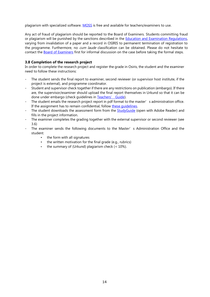plagiarism with specialized software. [MOSS](https://theory.stanford.edu/~aiken/moss/) is free and available for teachers/examiners to use.

Any act of fraud of plagiarism should be reported to the Board of Examiners. Students committing fraud or plagiarism will be punished by the sanctions described in the [Education and Examination Regulations,](https://teacherguidelifesciences.nl/supervising/research-project#fraud-and-plagiarism-urkund)  varying from invalidation of a paper and a record in OSIRIS to permanent termination of registration to the programme. Furthermore, no cum laude classification can be obtained. Please do not hesitate to contact the **Board of Examiners** first for informal discussion on the case before taking the formal steps.

#### <span id="page-13-0"></span>**3.8 Completion of the research project**

In order to complete the research project and register the grade in Osiris, the student and the examiner need to follow these instructions:

- The student sends the final report to examiner, second reviewer (or supervisor host institute, if the project is external), and programme coordinator.
- Student and supervisor check together if there are any restrictions on publication (embargo). If there are, the supervisor/examiner should upload the final report themselves in Urkund so that it can be done under embargo (check guidelines in [Teachers' Guide](https://teacherguidelifesciences.nl/supervising/research-project#fraud-and-plagiarism-urkund)).
- The student emails the research project report in pdf format to the master's administration office. If the assignment has to remain confidential, follow these quidelines.
- The student downloads the assessment form from the [StudyGuide](https://studyguidelifesciences.nl/documents) (open with Adobe Reader) and fills in the project information.
- The examiner completes the grading together with the external supervisor or second reviewer (see 3.6)
- The examiner sends the following documents to the Master's Administration Office and the student:
	- the form with all signatures
	- the written motivation for the final grade (e.g., rubrics)
	- the summary of (Urkund) plagiarism check (< 10%).